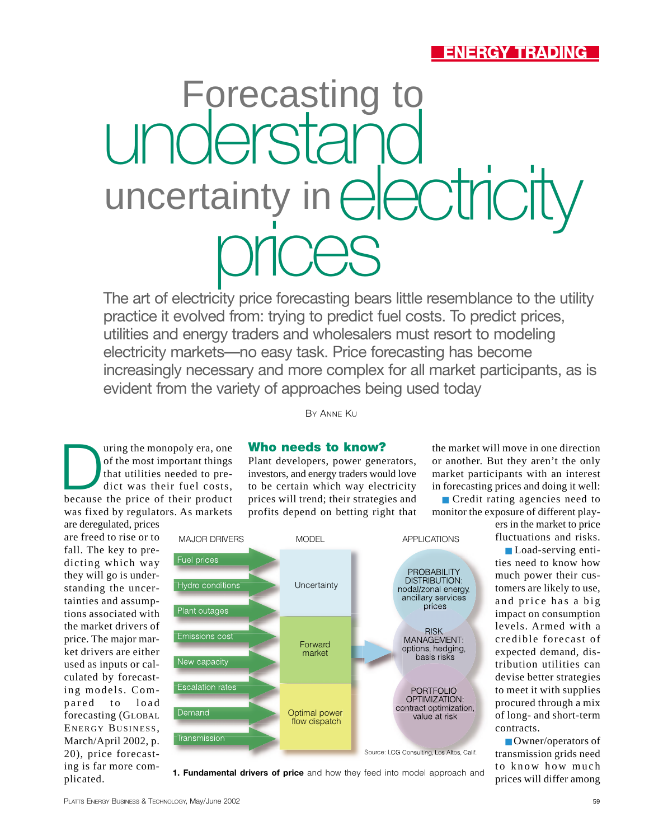## **ENERGY TRADING**

# Forecasting to understand uncertainty in  $\bigoplus \bigoplus \bigcirc \biguparrow \biguparrow \bigvee$

The art of electricity price forecasting bears little resemblance to the utility practice it evolved from: trying to predict fuel costs. To predict prices, utilities and energy traders and wholesalers must resort to modeling electricity markets—no easy task. Price forecasting has become increasingly necessary and more complex for all market participants, as is evident from the variety of approaches being used today

of the monopoly era, one<br>of the most important things<br>that utilities needed to pre-<br>dict was their fuel costs,<br>because the price of their product of the most important things that utilities needed to predict was their fuel costs, was fixed by regulators. As markets

are deregulated, prices are freed to rise or to fall. The key to predicting which way they will go is understanding the uncertainties and assumptions associated with the market drivers of price. The major market drivers are either used as inputs or calculated by forecasting models. Compared to load forecasting (GLOBAL ENERGY BUSINESS , March/April 2002, p. 20), price forecasting is far more complicated.

### **Who needs to know?**

BY ANNE KU

Plant developers, power generators, investors, and energy traders would love to be certain which way electricity prices will trend; their strategies and profits depend on betting right that



■ Credit rating agencies need to monitor the exposure of different play-

ers in the market to price fluctuations and risks.

■ Load-serving entities need to know how much power their customers are likely to use, and price has a big impact on consumption levels. Armed with a credible forecast of expected demand, distribution utilities can devise better strategies to meet it with supplies procured through a mix of long- and short-term contracts.

■ Owner/operators of transmission grids need to know how much prices will differ among



**1. Fundamental drivers of price** and how they feed into model approach and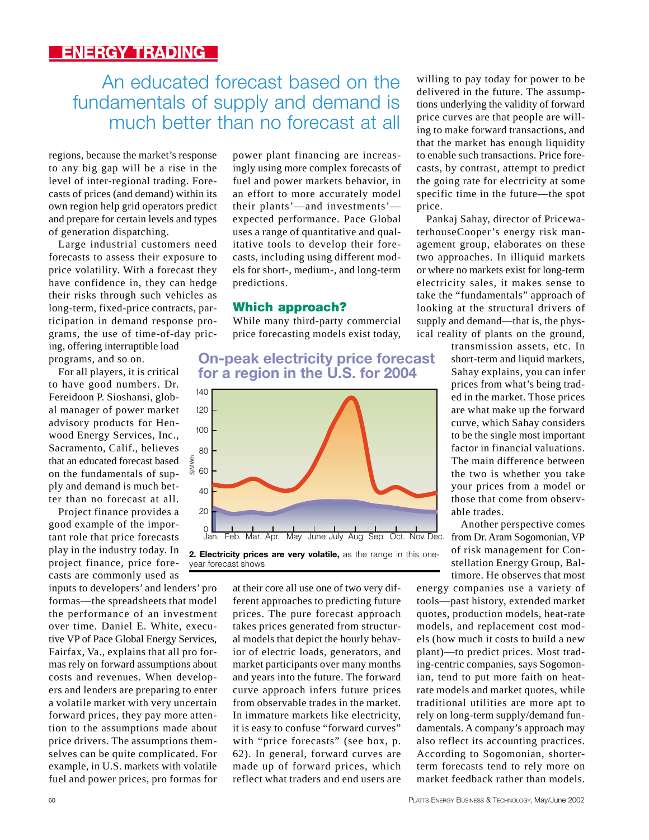## An educated forecast based on the fundamentals of supply and demand is much better than no forecast at all

regions, because the market's response to any big gap will be a rise in the level of inter-regional trading. Forecasts of prices (and demand) within its own region help grid operators predict and prepare for certain levels and types of generation dispatching.

Large industrial customers need forecasts to assess their exposure to price volatility. With a forecast they have confidence in, they can hedge their risks through such vehicles as long-term, fixed-price contracts, participation in demand response programs, the use of time-of-day pricing, offering interruptible load

programs, and so on.

For all players, it is critical to have good numbers. Dr. Fereidoon P. Sioshansi, global manager of power market advisory products for Henwood Energy Services, Inc., Sacramento, Calif., believes that an educated forecast based on the fundamentals of supply and demand is much better than no forecast at all.

Project finance provides a good example of the important role that price forecasts play in the industry today. In project finance, price forecasts are commonly used as

inputs to developers' and lenders' pro formas—the spreadsheets that model the performance of an investment over time. Daniel E. White, executive VP of Pace Global Energy Services, Fairfax, Va., explains that all pro formas rely on forward assumptions about costs and revenues. When developers and lenders are preparing to enter a volatile market with very uncertain forward prices, they pay more attention to the assumptions made about price drivers. The assumptions themselves can be quite complicated. For example, in U.S. markets with volatile fuel and power prices, pro formas for power plant financing are increasingly using more complex forecasts of fuel and power markets behavior, in an effort to more accurately model their plants'—and investments' expected performance. Pace Global uses a range of quantitative and qualitative tools to develop their forecasts, including using different models for short-, medium-, and long-term predictions.

#### **Which approach?**

While many third-party commercial price forecasting models exist today,

#### **On-peak electricity price forecast for a region in the U.S. for 2004**



**2. Electricity prices are very volatile,** as the range in this oneyear forecast shows

> at their core all use one of two very different approaches to predicting future prices. The pure forecast approach takes prices generated from structural models that depict the hourly behavior of electric loads, generators, and market participants over many months and years into the future. The forward curve approach infers future prices from observable trades in the market. In immature markets like electricity, it is easy to confuse "forward curves" with "price forecasts" (see box, p. 62). In general, forward curves are made up of forward prices, which reflect what traders and end users are

willing to pay today for power to be delivered in the future. The assumptions underlying the validity of forward price curves are that people are willing to make forward transactions, and that the market has enough liquidity to enable such transactions. Price forecasts, by contrast, attempt to predict the going rate for electricity at some specific time in the future—the spot price.

Pankaj Sahay, director of PricewaterhouseCooper's energy risk management group, elaborates on these two approaches. In illiquid markets or where no markets exist for long-term electricity sales, it makes sense to take the "fundamentals" approach of looking at the structural drivers of supply and demand—that is, the physical reality of plants on the ground,

> transmission assets, etc. In short-term and liquid markets, Sahay explains, you can infer prices from what's being traded in the market. Those prices are what make up the forward curve, which Sahay considers to be the single most important factor in financial valuations. The main difference between the two is whether you take your prices from a model or those that come from observable trades.

Another perspective comes from Dr. Aram Sogomonian, VP of risk management for Constellation Energy Group, Baltimore. He observes that most

energy companies use a variety of tools—past history, extended market quotes, production models, heat-rate models, and replacement cost models (how much it costs to build a new plant)—to predict prices. Most trading-centric companies, says Sogomonian, tend to put more faith on heatrate models and market quotes, while traditional utilities are more apt to rely on long-term supply/demand fundamentals. A company's approach may also reflect its accounting practices. According to Sogomonian, shorterterm forecasts tend to rely more on market feedback rather than models.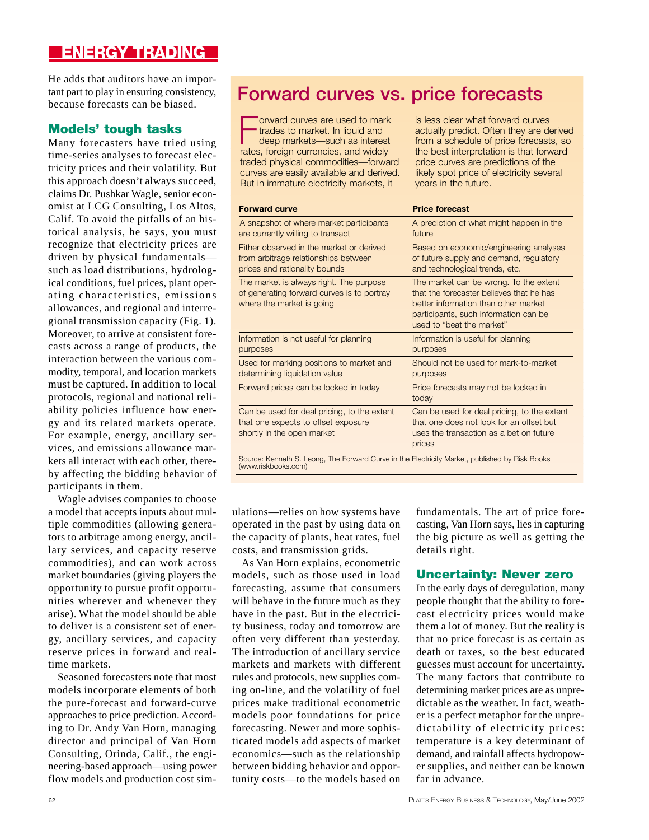## **ENERGY TRADING**

He adds that auditors have an important part to play in ensuring consistency, because forecasts can be biased.

#### **Models' tough tasks**

Many forecasters have tried using time-series analyses to forecast electricity prices and their volatility. But this approach doesn't always succeed, claims Dr. Pushkar Wagle, senior economist at LCG Consulting, Los Altos, Calif. To avoid the pitfalls of an historical analysis, he says, you must recognize that electricity prices are driven by physical fundamentals such as load distributions, hydrological conditions, fuel prices, plant operating characteristics, emissions allowances, and regional and interregional transmission capacity (Fig. 1). Moreover, to arrive at consistent forecasts across a range of products, the interaction between the various commodity, temporal, and location markets must be captured. In addition to local protocols, regional and national reliability policies influence how energy and its related markets operate. For example, energy, ancillary services, and emissions allowance markets all interact with each other, thereby affecting the bidding behavior of participants in them.

Wagle advises companies to choose a model that accepts inputs about multiple commodities (allowing generators to arbitrage among energy, ancillary services, and capacity reserve commodities), and can work across market boundaries (giving players the opportunity to pursue profit opportunities wherever and whenever they arise). What the model should be able to deliver is a consistent set of energy, ancillary services, and capacity reserve prices in forward and realtime markets.

Seasoned forecasters note that most models incorporate elements of both the pure-forecast and forward-curve approaches to price prediction. According to Dr. Andy Van Horn, managing director and principal of Van Horn Consulting, Orinda, Calif., the engineering-based approach—using power flow models and production cost sim-

## **Forward curves vs. price forecasts**

Forward curves are used to market trades to market. In liquid and deep markets—such as interes<br>rates, foreign currencies, and widely orward curves are used to mark trades to market. In liquid and deep markets—such as interest traded physical commodities—forward curves are easily available and derived. But in immature electricity markets, it

is less clear what forward curves actually predict. Often they are derived from a schedule of price forecasts, so the best interpretation is that forward price curves are predictions of the likely spot price of electricity several years in the future.

| <b>Forward curve</b>                                                                                                  | <b>Price forecast</b>                                                                                                                                                                            |
|-----------------------------------------------------------------------------------------------------------------------|--------------------------------------------------------------------------------------------------------------------------------------------------------------------------------------------------|
| A snapshot of where market participants<br>are currently willing to transact                                          | A prediction of what might happen in the<br>future                                                                                                                                               |
| Either observed in the market or derived<br>from arbitrage relationships between<br>prices and rationality bounds     | Based on economic/engineering analyses<br>of future supply and demand, regulatory<br>and technological trends, etc.                                                                              |
| The market is always right. The purpose<br>of generating forward curves is to portray<br>where the market is going    | The market can be wrong. To the extent<br>that the forecaster believes that he has<br>better information than other market<br>participants, such information can be<br>used to "beat the market" |
| Information is not useful for planning                                                                                | Information is useful for planning                                                                                                                                                               |
| purposes                                                                                                              | purposes                                                                                                                                                                                         |
| Used for marking positions to market and<br>determining liquidation value                                             | Should not be used for mark-to-market<br>purposes                                                                                                                                                |
| Forward prices can be locked in today                                                                                 | Price forecasts may not be locked in<br>today                                                                                                                                                    |
| Can be used for deal pricing, to the extent<br>that one expects to offset exposure<br>shortly in the open market      | Can be used for deal pricing, to the extent<br>that one does not look for an offset but<br>uses the transaction as a bet on future<br>prices                                                     |
| Source: Kenneth S. Leong, The Forward Curve in the Electricity Market, published by Risk Books<br>(www.riskbooks.com) |                                                                                                                                                                                                  |

ulations—relies on how systems have operated in the past by using data on the capacity of plants, heat rates, fuel costs, and transmission grids.

As Van Horn explains, econometric models, such as those used in load forecasting, assume that consumers will behave in the future much as they have in the past. But in the electricity business, today and tomorrow are often very different than yesterday. The introduction of ancillary service markets and markets with different rules and protocols, new supplies coming on-line, and the volatility of fuel prices make traditional econometric models poor foundations for price forecasting. Newer and more sophisticated models add aspects of market economics—such as the relationship between bidding behavior and opportunity costs—to the models based on

fundamentals. The art of price forecasting, Van Horn says, lies in capturing the big picture as well as getting the details right.

#### **Uncertainty: Never zero**

In the early days of deregulation, many people thought that the ability to forecast electricity prices would make them a lot of money. But the reality is that no price forecast is as certain as death or taxes, so the best educated guesses must account for uncertainty. The many factors that contribute to determining market prices are as unpredictable as the weather. In fact, weather is a perfect metaphor for the unpredictability of electricity prices: temperature is a key determinant of demand, and rainfall affects hydropower supplies, and neither can be known far in advance.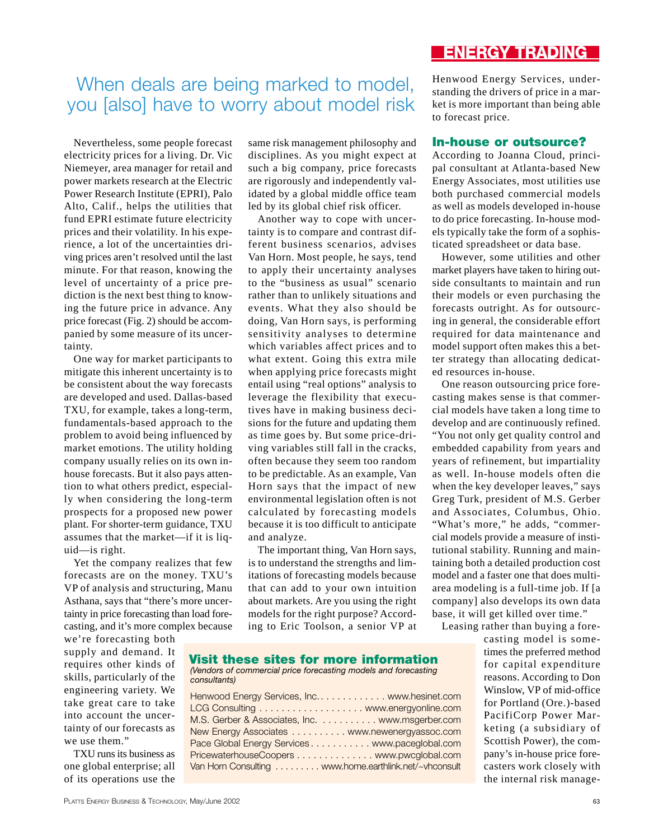## When deals are being marked to model, you [also] have to worry about model risk

Nevertheless, some people forecast electricity prices for a living. Dr. Vic Niemeyer, area manager for retail and power markets research at the Electric Power Research Institute (EPRI), Palo Alto, Calif., helps the utilities that fund EPRI estimate future electricity prices and their volatility. In his experience, a lot of the uncertainties driving prices aren't resolved until the last minute. For that reason, knowing the level of uncertainty of a price prediction is the next best thing to knowing the future price in advance. Any price forecast (Fig. 2) should be accompanied by some measure of its uncertainty.

One way for market participants to mitigate this inherent uncertainty is to be consistent about the way forecasts are developed and used. Dallas-based TXU, for example, takes a long-term, fundamentals-based approach to the problem to avoid being influenced by market emotions. The utility holding company usually relies on its own inhouse forecasts. But it also pays attention to what others predict, especially when considering the long-term prospects for a proposed new power plant. For shorter-term guidance, TXU assumes that the market—if it is liquid—is right.

Yet the company realizes that few forecasts are on the money. TXU's VP of analysis and structuring, Manu Asthana, says that "there's more uncertainty in price forecasting than load forecasting, and it's more complex because

we're forecasting both supply and demand. It requires other kinds of skills, particularly of the engineering variety. We take great care to take into account the uncertainty of our forecasts as we use them."

TXU runs its business as one global enterprise; all of its operations use the

same risk management philosophy and disciplines. As you might expect at such a big company, price forecasts are rigorously and independently validated by a global middle office team led by its global chief risk officer.

Another way to cope with uncertainty is to compare and contrast different business scenarios, advises Van Horn. Most people, he says, tend to apply their uncertainty analyses to the "business as usual" scenario rather than to unlikely situations and events. What they also should be doing, Van Horn says, is performing sensitivity analyses to determine which variables affect prices and to what extent. Going this extra mile when applying price forecasts might entail using "real options" analysis to leverage the flexibility that executives have in making business decisions for the future and updating them as time goes by. But some price-driving variables still fall in the cracks, often because they seem too random to be predictable. As an example, Van Horn says that the impact of new environmental legislation often is not calculated by forecasting models because it is too difficult to anticipate and analyze.

The important thing, Van Horn says, is to understand the strengths and limitations of forecasting models because that can add to your own intuition about markets. Are you using the right models for the right purpose? According to Eric Toolson, a senior VP at

#### **ENERGY TRADING**

Henwood Energy Services, understanding the drivers of price in a market is more important than being able to forecast price.

#### **In-house or outsource?**

According to Joanna Cloud, principal consultant at Atlanta-based New Energy Associates, most utilities use both purchased commercial models as well as models developed in-house to do price forecasting. In-house models typically take the form of a sophisticated spreadsheet or data base.

However, some utilities and other market players have taken to hiring outside consultants to maintain and run their models or even purchasing the forecasts outright. As for outsourcing in general, the considerable effort required for data maintenance and model support often makes this a better strategy than allocating dedicated resources in-house.

One reason outsourcing price forecasting makes sense is that commercial models have taken a long time to develop and are continuously refined. "You not only get quality control and embedded capability from years and years of refinement, but impartiality as well. In-house models often die when the key developer leaves," says Greg Turk, president of M.S. Gerber and Associates, Columbus, Ohio. "What's more," he adds, "commercial models provide a measure of institutional stability. Running and maintaining both a detailed production cost model and a faster one that does multiarea modeling is a full-time job. If [a company] also develops its own data base, it will get killed over time."

Leasing rather than buying a fore-

casting model is sometimes the preferred method for capital expenditure reasons. According to Don Winslow, VP of mid-office for Portland (Ore.)-based PacifiCorp Power Marketing (a subsidiary of Scottish Power), the company's in-house price forecasters work closely with the internal risk manage-

**Visit these sites for more information** *(Vendors of commercial price forecasting models and forecasting consultants)*

| Henwood Energy Services, Inc www.hesinet.com          |  |
|-------------------------------------------------------|--|
| LCG Consulting  www.energyonline.com                  |  |
| M.S. Gerber & Associates, Inc. www.msgerber.com       |  |
| New Energy Associates www.newenergyassoc.com          |  |
| Pace Global Energy Services www.paceglobal.com        |  |
| PricewaterhouseCoopers www.pwcglobal.com              |  |
| Van Horn Consulting www.home.earthlink.net/~vhconsult |  |
|                                                       |  |